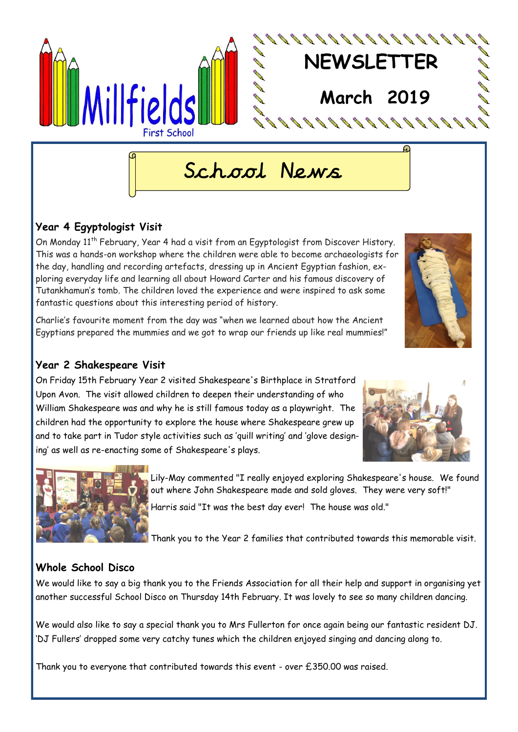

# School News

## **Year 4 Egyptologist Visit**

On Monday 11<sup>th</sup> February, Year 4 had a visit from an Egyptologist from Discover History. This was a hands-on workshop where the children were able to become archaeologists for the day, handling and recording artefacts, dressing up in Ancient Egyptian fashion, exploring everyday life and learning all about Howard Carter and his famous discovery of Tutankhamun's tomb. The children loved the experience and were inspired to ask some fantastic questions about this interesting period of history.

Charlie's favourite moment from the day was "when we learned about how the Ancient Egyptians prepared the mummies and we got to wrap our friends up like real mummies!"

## **Year 2 Shakespeare Visit**

On Friday 15th February Year 2 visited Shakespeare's Birthplace in Stratford Upon Avon. The visit allowed children to deepen their understanding of who William Shakespeare was and why he is still famous today as a playwright. The children had the opportunity to explore the house where Shakespeare grew up and to take part in Tudor style activities such as 'quill writing' and 'glove designing' as well as re-enacting some of Shakespeare's plays.





Lily-May commented "I really enjoyed exploring Shakespeare's house. We found out where John Shakespeare made and sold gloves. They were very soft!" Harris said "It was the best day ever! The house was old."

Thank you to the Year 2 families that contributed towards this memorable visit.

## **Whole School Disco**

We would like to say a big thank you to the Friends Association for all their help and support in organising yet another successful School Disco on Thursday 14th February. It was lovely to see so many children dancing.

We would also like to say a special thank you to Mrs Fullerton for once again being our fantastic resident DJ. 'DJ Fullers' dropped some very catchy tunes which the children enjoyed singing and dancing along to.

Thank you to everyone that contributed towards this event - over £350.00 was raised.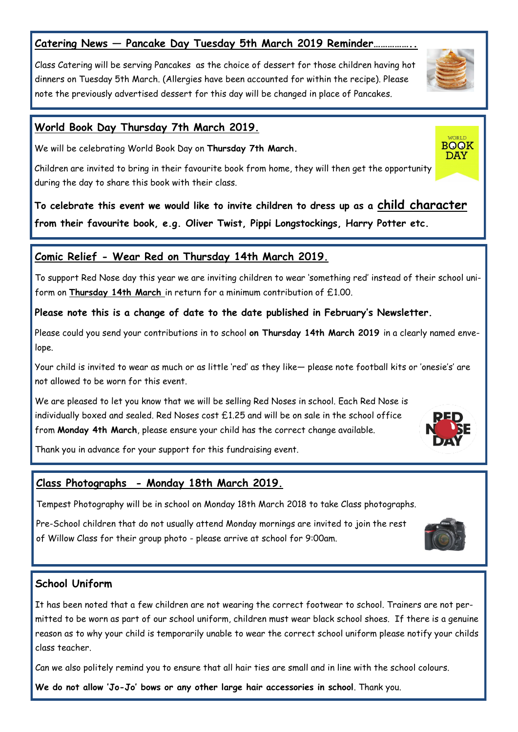## **Catering News — Pancake Day Tuesday 5th March 2019 Reminder……………..**

Class Catering will be serving Pancakes as the choice of dessert for those children having hot dinners on Tuesday 5th March. (Allergies have been accounted for within the recipe). Please note the previously advertised dessert for this day will be changed in place of Pancakes.

#### **World Book Day Thursday 7th March 2019.**

We will be celebrating World Book Day on **Thursday 7th March.** 

Children are invited to bring in their favourite book from home, they will then get the opportunity during the day to share this book with their class.

**To celebrate this event we would like to invite children to dress up as a child character from their favourite book, e.g. Oliver Twist, Pippi Longstockings, Harry Potter etc.**

#### **Comic Relief - Wear Red on Thursday 14th March 2019.**

To support Red Nose day this year we are inviting children to wear 'something red' instead of their school uniform on **Thursday 14th March** in return for a minimum contribution of £1.00.

#### **Please note this is a change of date to the date published in February's Newsletter.**

Please could you send your contributions in to school **on Thursday 14th March 2019** in a clearly named envelope.

Your child is invited to wear as much or as little 'red' as they like— please note football kits or 'onesie's' are not allowed to be worn for this event.

We are pleased to let you know that we will be selling Red Noses in school. Each Red Nose is individually boxed and sealed. Red Noses cost £1.25 and will be on sale in the school office from **Monday 4th March**, please ensure your child has the correct change available.

Thank you in advance for your support for this fundraising event.

#### **Class Photographs - Monday 18th March 2019.**

Tempest Photography will be in school on Monday 18th March 2018 to take Class photographs.

Pre-School children that do not usually attend Monday mornings are invited to join the rest of Willow Class for their group photo - please arrive at school for 9:00am.

#### **School Uniform**

It has been noted that a few children are not wearing the correct footwear to school. Trainers are not permitted to be worn as part of our school uniform, children must wear black school shoes. If there is a genuine reason as to why your child is temporarily unable to wear the correct school uniform please notify your childs class teacher.

Can we also politely remind you to ensure that all hair ties are small and in line with the school colours.

**We do not allow 'Jo-Jo' bows or any other large hair accessories in school**. Thank you.





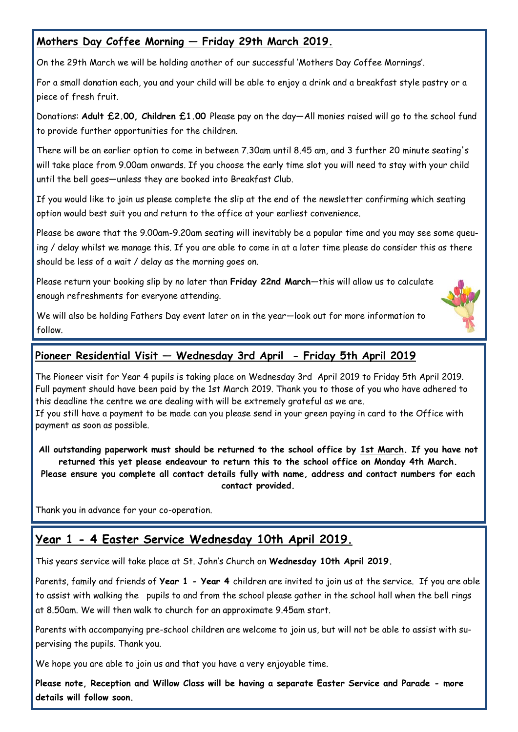## **Mothers Day Coffee Morning — Friday 29th March 2019.**

On the 29th March we will be holding another of our successful 'Mothers Day Coffee Mornings'.

For a small donation each, you and your child will be able to enjoy a drink and a breakfast style pastry or a piece of fresh fruit.

Donations: **Adult £2.00, Children £1.00** Please pay on the day—All monies raised will go to the school fund to provide further opportunities for the children.

There will be an earlier option to come in between 7.30am until 8.45 am, and 3 further 20 minute seating's will take place from 9.00am onwards. If you choose the early time slot you will need to stay with your child until the bell goes—unless they are booked into Breakfast Club.

If you would like to join us please complete the slip at the end of the newsletter confirming which seating option would best suit you and return to the office at your earliest convenience.

Please be aware that the 9.00am-9.20am seating will inevitably be a popular time and you may see some queuing / delay whilst we manage this. If you are able to come in at a later time please do consider this as there should be less of a wait / delay as the morning goes on.

Please return your booking slip by no later than **Friday 22nd March**—this will allow us to calculate enough refreshments for everyone attending.

We will also be holding Fathers Day event later on in the year—look out for more information to follow.

## **Pioneer Residential Visit — Wednesday 3rd April - Friday 5th April 2019**

The Pioneer visit for Year 4 pupils is taking place on Wednesday 3rd April 2019 to Friday 5th April 2019. Full payment should have been paid by the 1st March 2019. Thank you to those of you who have adhered to this deadline the centre we are dealing with will be extremely grateful as we are.

If you still have a payment to be made can you please send in your green paying in card to the Office with payment as soon as possible.

**All outstanding paperwork must should be returned to the school office by 1st March. If you have not returned this yet please endeavour to return this to the school office on Monday 4th March. Please ensure you complete all contact details fully with name, address and contact numbers for each contact provided.**

Thank you in advance for your co-operation.

# **Year 1 - 4 Easter Service Wednesday 10th April 2019.**

This years service will take place at St. John's Church on **Wednesday 10th April 2019.**

Parents, family and friends of **Year 1 - Year 4** children are invited to join us at the service. If you are able to assist with walking the pupils to and from the school please gather in the school hall when the bell rings at 8.50am. We will then walk to church for an approximate 9.45am start.

Parents with accompanying pre-school children are welcome to join us, but will not be able to assist with supervising the pupils. Thank you.

We hope you are able to join us and that you have a very enjoyable time.

**Please note, Reception and Willow Class will be having a separate Easter Service and Parade - more details will follow soon.**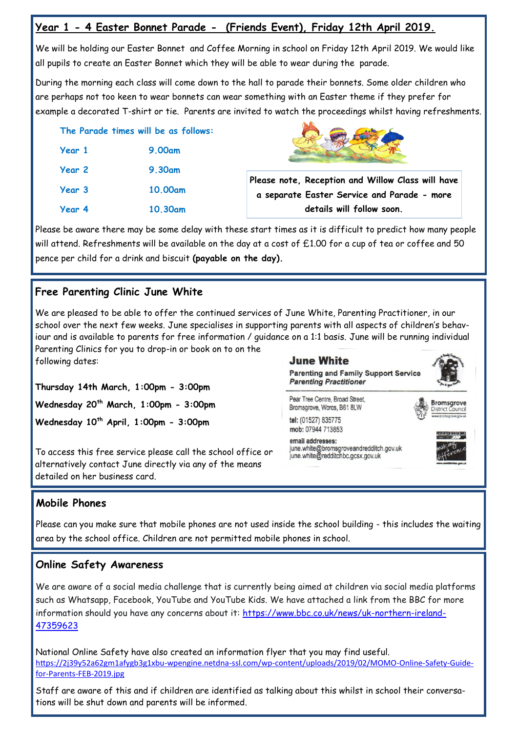## **Year 1 - 4 Easter Bonnet Parade - (Friends Event), Friday 12th April 2019.**

We will be holding our Easter Bonnet and Coffee Morning in school on Friday 12th April 2019. We would like all pupils to create an Easter Bonnet which they will be able to wear during the parade.

During the morning each class will come down to the hall to parade their bonnets. Some older children who are perhaps not too keen to wear bonnets can wear something with an Easter theme if they prefer for example a decorated T-shirt or tie. Parents are invited to watch the proceedings whilst having refreshments.

|        | The Parade times will be as follows: |
|--------|--------------------------------------|
| Year 1 | <b>9.00am</b>                        |
| Year 2 | <b>9.30am</b>                        |
| Year 3 | 10.00am                              |
| Year 4 | 10.30am                              |



**Please note, Reception and Willow Class will have a separate Easter Service and Parade - more details will follow soon.**

Please be aware there may be some delay with these start times as it is difficult to predict how many people will attend. Refreshments will be available on the day at a cost of £1.00 for a cup of tea or coffee and 50 pence per child for a drink and biscuit **(payable on the day).** 

# **Free Parenting Clinic June White**

We are pleased to be able to offer the continued services of June White, Parenting Practitioner, in our school over the next few weeks. June specialises in supporting parents with all aspects of children's behaviour and is available to parents for free information / guidance on a 1:1 basis. June will be running individual Parenting Clinics for you to drop-in or book on to on the

following dates:

**Thursday 14th March, 1:00pm - 3:00pm Wednesday 20th March, 1:00pm - 3:00pm Wednesday 10th April, 1:00pm - 3:00pm**

To access this free service please call the school office or alternatively contact June directly via any of the means detailed on her business card.

**June White** 

**Parenting and Family Support Service Parenting Practitioner** 

Pear Tree Centre, Broad Street. Bromsgrove, Worcs, B61 8LW tel: (01527) 835775

**Bromsgrove**<br>District Council

mob: 07944 713853 email addresses: june.white@bromsgroveandredditch.gov.uk june.white@redditchbc.gcsx.gov.uk



## **Mobile Phones**

Please can you make sure that mobile phones are not used inside the school building - this includes the waiting area by the school office. Children are not permitted mobile phones in school.

# **Online Safety Awareness**

We are aware of a social media challenge that is currently being aimed at children via social media platforms such as Whatsapp, Facebook, YouTube and YouTube Kids. We have attached a link from the BBC for more information should you have any concerns about it: [https://www.bbc.co.uk/news/uk-northern-ireland-](https://www.bbc.co.uk/news/uk-northern-ireland-47359623)[47359623](https://www.bbc.co.uk/news/uk-northern-ireland-47359623)

National Online Safety have also created an information flyer that you may find useful. [https://2j39y52a62gm1afygb3g1xbu](https://2j39y52a62gm1afygb3g1xbu-wpengine.netdna-ssl.com/wp-content/uploads/2019/02/MOMO-Online-Safety-Guide-for-Parents-FEB-2019.jpg)-wpengine.netdna-ssl.com/wp-content/uploads/2019/02/MOMO-Online-Safety-Guidefor-Parents-FEB-[2019.jpg](https://2j39y52a62gm1afygb3g1xbu-wpengine.netdna-ssl.com/wp-content/uploads/2019/02/MOMO-Online-Safety-Guide-for-Parents-FEB-2019.jpg)

Staff are aware of this and if children are identified as talking about this whilst in school their conversations will be shut down and parents will be informed.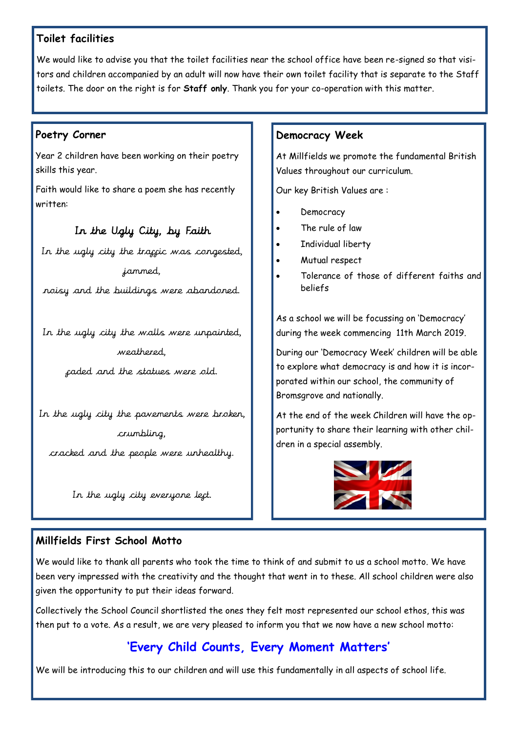## **Toilet facilities**

We would like to advise you that the toilet facilities near the school office have been re-signed so that visitors and children accompanied by an adult will now have their own toilet facility that is separate to the Staff toilets. The door on the right is for **Staff only**. Thank you for your co-operation with this matter.

#### **Poetry Corner**

Year 2 children have been working on their poetry skills this year.

Faith would like to share a poem she has recently written:

#### In the Ugly City, by Faith

In the ugly city the traggic was congested, jammed,

noisy and the buildings were abandoned.

In the ugly city the walls were unpainted, weathered,

faded and the statues were old.

In the ugly city the pavements were broken, crumbling,

cracked and the people were unhealthy.

In the ugly city everyone left.

#### **Democracy Week**

At Millfields we promote the fundamental British Values throughout our curriculum.

Our key British Values are :

- Democracy
- The rule of law
- Individual liberty
- Mutual respect
- Tolerance of those of different faiths and beliefs

As a school we will be focussing on 'Democracy' during the week commencing 11th March 2019.

During our 'Democracy Week' children will be able to explore what democracy is and how it is incorporated within our school, the community of Bromsgrove and nationally.

At the end of the week Children will have the opportunity to share their learning with other children in a special assembly.



#### **Millfields First School Motto**

We would like to thank all parents who took the time to think of and submit to us a school motto. We have been very impressed with the creativity and the thought that went in to these. All school children were also given the opportunity to put their ideas forward.

Collectively the School Council shortlisted the ones they felt most represented our school ethos, this was then put to a vote. As a result, we are very pleased to inform you that we now have a new school motto:

# **'Every Child Counts, Every Moment Matters'**

We will be introducing this to our children and will use this fundamentally in all aspects of school life.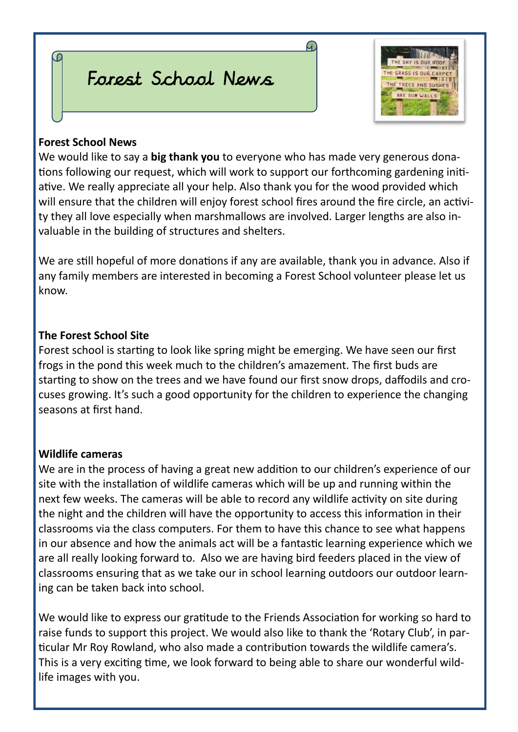# Forest School News



## **Forest School News**

We would like to say a **big thank you** to everyone who has made very generous donations following our request, which will work to support our forthcoming gardening initiative. We really appreciate all your help. Also thank you for the wood provided which will ensure that the children will enjoy forest school fires around the fire circle, an activity they all love especially when marshmallows are involved. Larger lengths are also invaluable in the building of structures and shelters.

4.

We are still hopeful of more donations if any are available, thank you in advance. Also if any family members are interested in becoming a Forest School volunteer please let us know.

# **The Forest School Site**

Forest school is starting to look like spring might be emerging. We have seen our first frogs in the pond this week much to the children's amazement. The first buds are starting to show on the trees and we have found our first snow drops, daffodils and crocuses growing. It's such a good opportunity for the children to experience the changing seasons at first hand.

# **Wildlife cameras**

We are in the process of having a great new addition to our children's experience of our site with the installation of wildlife cameras which will be up and running within the next few weeks. The cameras will be able to record any wildlife activity on site during the night and the children will have the opportunity to access this information in their classrooms via the class computers. For them to have this chance to see what happens in our absence and how the animals act will be a fantastic learning experience which we are all really looking forward to. Also we are having bird feeders placed in the view of classrooms ensuring that as we take our in school learning outdoors our outdoor learning can be taken back into school.

We would like to express our gratitude to the Friends Association for working so hard to raise funds to support this project. We would also like to thank the 'Rotary Club', in particular Mr Roy Rowland, who also made a contribution towards the wildlife camera's. This is a very exciting time, we look forward to being able to share our wonderful wildlife images with you.